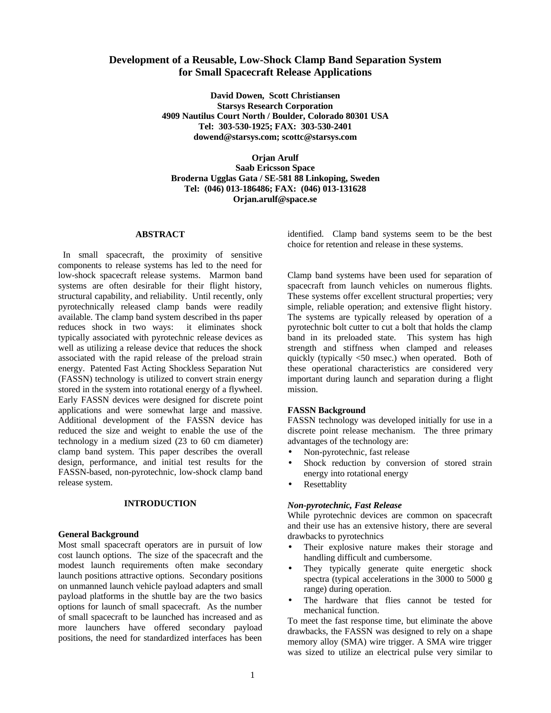# **Development of a Reusable, Low-Shock Clamp Band Separation System for Small Spacecraft Release Applications**

**David Dowen, Scott Christiansen Starsys Research Corporation 4909 Nautilus Court North / Boulder, Colorado 80301 USA Tel: 303-530-1925; FAX: 303-530-2401 dowend@starsys.com; scottc@starsys.com**

**Orjan Arulf Saab Ericsson Space Broderna Ugglas Gata / SE-581 88 Linkoping, Sweden Tel: (046) 013-186486; FAX: (046) 013-131628 Orjan.arulf@space.se**

#### **ABSTRACT**

In small spacecraft, the proximity of sensitive components to release systems has led to the need for low-shock spacecraft release systems. Marmon band systems are often desirable for their flight history, structural capability, and reliability. Until recently, only pyrotechnically released clamp bands were readily available. The clamp band system described in ths paper reduces shock in two ways: it eliminates shock typically associated with pyrotechnic release devices as well as utilizing a release device that reduces the shock associated with the rapid release of the preload strain energy. Patented Fast Acting Shockless Separation Nut (FASSN) technology is utilized to convert strain energy stored in the system into rotational energy of a flywheel. Early FASSN devices were designed for discrete point applications and were somewhat large and massive. Additional development of the FASSN device has reduced the size and weight to enable the use of the technology in a medium sized (23 to 60 cm diameter) clamp band system. This paper describes the overall design, performance, and initial test results for the FASSN-based, non-pyrotechnic, low-shock clamp band release system.

#### **INTRODUCTION**

#### **General Background**

Most small spacecraft operators are in pursuit of low cost launch options. The size of the spacecraft and the modest launch requirements often make secondary launch positions attractive options. Secondary positions on unmanned launch vehicle payload adapters and small payload platforms in the shuttle bay are the two basics options for launch of small spacecraft. As the number of small spacecraft to be launched has increased and as more launchers have offered secondary payload positions, the need for standardized interfaces has been

identified. Clamp band systems seem to be the best choice for retention and release in these systems.

Clamp band systems have been used for separation of spacecraft from launch vehicles on numerous flights. These systems offer excellent structural properties; very simple, reliable operation; and extensive flight history. The systems are typically released by operation of a pyrotechnic bolt cutter to cut a bolt that holds the clamp band in its preloaded state. This system has high strength and stiffness when clamped and releases quickly (typically <50 msec.) when operated. Both of these operational characteristics are considered very important during launch and separation during a flight mission.

#### **FASSN Background**

FASSN technology was developed initially for use in a discrete point release mechanism. The three primary advantages of the technology are:

- Non-pyrotechnic, fast release
- Shock reduction by conversion of stored strain energy into rotational energy
- **Resettablity**

#### *Non-pyrotechnic, Fast Release*

While pyrotechnic devices are common on spacecraft and their use has an extensive history, there are several drawbacks to pyrotechnics

- Their explosive nature makes their storage and handling difficult and cumbersome.
- They typically generate quite energetic shock spectra (typical accelerations in the 3000 to 5000 g range) during operation.
- The hardware that flies cannot be tested for mechanical function.

To meet the fast response time, but eliminate the above drawbacks, the FASSN was designed to rely on a shape memory alloy (SMA) wire trigger. A SMA wire trigger was sized to utilize an electrical pulse very similar to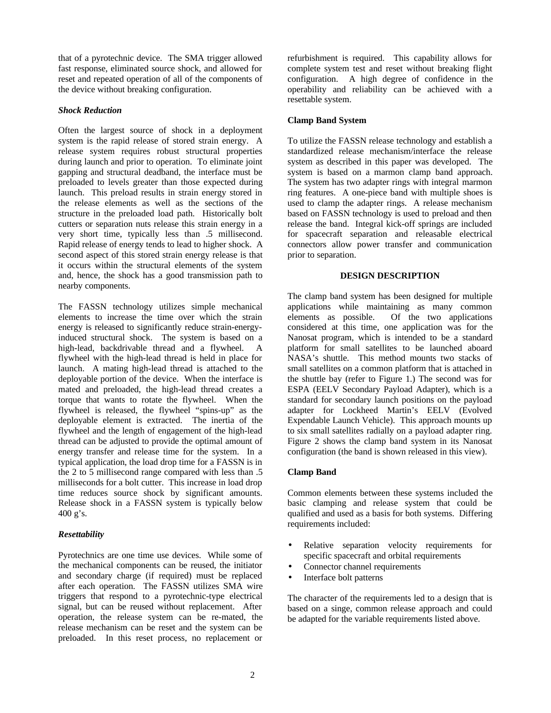that of a pyrotechnic device. The SMA trigger allowed fast response, eliminated source shock, and allowed for reset and repeated operation of all of the components of the device without breaking configuration.

### *Shock Reduction*

Often the largest source of shock in a deployment system is the rapid release of stored strain energy. A release system requires robust structural properties during launch and prior to operation. To eliminate joint gapping and structural deadband, the interface must be preloaded to levels greater than those expected during launch. This preload results in strain energy stored in the release elements as well as the sections of the structure in the preloaded load path. Historically bolt cutters or separation nuts release this strain energy in a very short time, typically less than .5 millisecond. Rapid release of energy tends to lead to higher shock. A second aspect of this stored strain energy release is that it occurs within the structural elements of the system and, hence, the shock has a good transmission path to nearby components.

The FASSN technology utilizes simple mechanical elements to increase the time over which the strain energy is released to significantly reduce strain-energyinduced structural shock. The system is based on a high-lead, backdrivable thread and a flywheel. A flywheel with the high-lead thread is held in place for launch. A mating high-lead thread is attached to the deployable portion of the device. When the interface is mated and preloaded, the high-lead thread creates a torque that wants to rotate the flywheel. When the flywheel is released, the flywheel "spins-up" as the deployable element is extracted. The inertia of the flywheel and the length of engagement of the high-lead thread can be adjusted to provide the optimal amount of energy transfer and release time for the system. In a typical application, the load drop time for a FASSN is in the 2 to 5 millisecond range compared with less than .5 milliseconds for a bolt cutter. This increase in load drop time reduces source shock by significant amounts. Release shock in a FASSN system is typically below 400 g's.

## *Resettability*

Pyrotechnics are one time use devices. While some of the mechanical components can be reused, the initiator and secondary charge (if required) must be replaced after each operation. The FASSN utilizes SMA wire triggers that respond to a pyrotechnic-type electrical signal, but can be reused without replacement. After operation, the release system can be re-mated, the release mechanism can be reset and the system can be preloaded. In this reset process, no replacement or

refurbishment is required. This capability allows for complete system test and reset without breaking flight configuration. A high degree of confidence in the operability and reliability can be achieved with a resettable system.

## **Clamp Band System**

To utilize the FASSN release technology and establish a standardized release mechanism/interface the release system as described in this paper was developed. The system is based on a marmon clamp band approach. The system has two adapter rings with integral marmon ring features. A one-piece band with multiple shoes is used to clamp the adapter rings. A release mechanism based on FASSN technology is used to preload and then release the band. Integral kick-off springs are included for spacecraft separation and releasable electrical connectors allow power transfer and communication prior to separation.

### **DESIGN DESCRIPTION**

The clamp band system has been designed for multiple applications while maintaining as many common elements as possible. Of the two applications Of the two applications considered at this time, one application was for the Nanosat program, which is intended to be a standard platform for small satellites to be launched aboard NASA's shuttle. This method mounts two stacks of small satellites on a common platform that is attached in the shuttle bay (refer to Figure 1.) The second was for ESPA (EELV Secondary Payload Adapter), which is a standard for secondary launch positions on the payload adapter for Lockheed Martin's EELV (Evolved Expendable Launch Vehicle). This approach mounts up to six small satellites radially on a payload adapter ring. Figure 2 shows the clamp band system in its Nanosat configuration (the band is shown released in this view).

## **Clamp Band**

Common elements between these systems included the basic clamping and release system that could be qualified and used as a basis for both systems. Differing requirements included:

- Relative separation velocity requirements for specific spacecraft and orbital requirements
- Connector channel requirements
- Interface bolt patterns

The character of the requirements led to a design that is based on a singe, common release approach and could be adapted for the variable requirements listed above.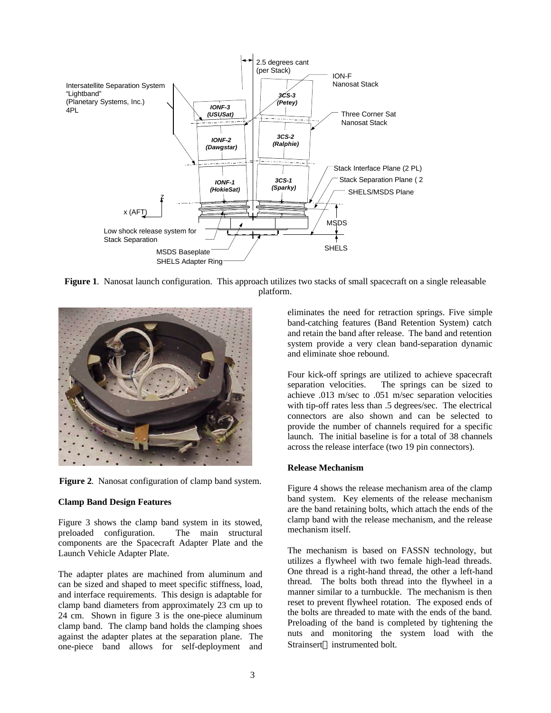

**Figure 1**. Nanosat launch configuration. This approach utilizes two stacks of small spacecraft on a single releasable platform.



**Figure 2**. Nanosat configuration of clamp band system.

#### **Clamp Band Design Features**

Figure 3 shows the clamp band system in its stowed, preloaded configuration. The main structural components are the Spacecraft Adapter Plate and the Launch Vehicle Adapter Plate.

The adapter plates are machined from aluminum and can be sized and shaped to meet specific stiffness, load, and interface requirements. This design is adaptable for clamp band diameters from approximately 23 cm up to 24 cm. Shown in figure 3 is the one-piece aluminum clamp band. The clamp band holds the clamping shoes against the adapter plates at the separation plane. The one-piece band allows for self-deployment and

eliminates the need for retraction springs. Five simple band-catching features (Band Retention System) catch and retain the band after release. The band and retention system provide a very clean band-separation dynamic and eliminate shoe rebound.

Four kick-off springs are utilized to achieve spacecraft separation velocities. The springs can be sized to achieve .013 m/sec to .051 m/sec separation velocities with tip-off rates less than .5 degrees/sec. The electrical connectors are also shown and can be selected to provide the number of channels required for a specific launch. The initial baseline is for a total of 38 channels across the release interface (two 19 pin connectors).

## **Release Mechanism**

Figure 4 shows the release mechanism area of the clamp band system. Key elements of the release mechanism are the band retaining bolts, which attach the ends of the clamp band with the release mechanism, and the release mechanism itself.

The mechanism is based on FASSN technology, but utilizes a flywheel with two female high-lead threads. One thread is a right-hand thread, the other a left-hand thread. The bolts both thread into the flywheel in a manner similar to a turnbuckle. The mechanism is then reset to prevent flywheel rotation. The exposed ends of the bolts are threaded to mate with the ends of the band. Preloading of the band is completed by tightening the nuts and monitoring the system load with the Strainsert<sup>®</sup> instrumented bolt.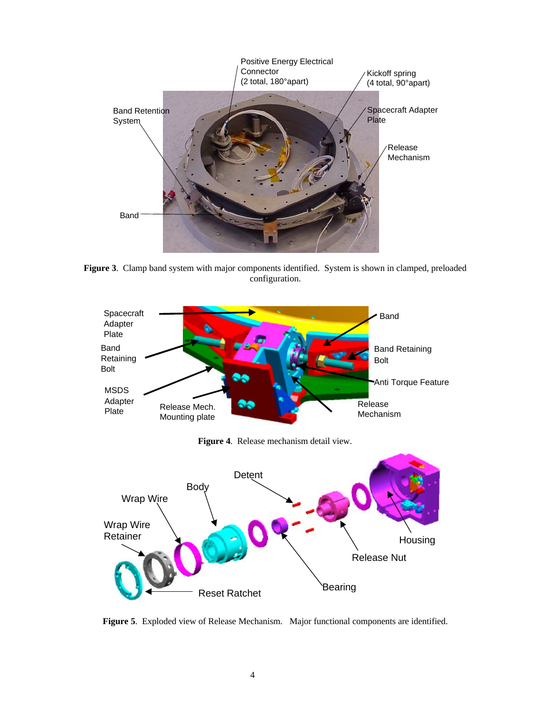

**Figure 3**. Clamp band system with major components identified. System is shown in clamped, preloaded configuration.



**Figure 4**. Release mechanism detail view.



**Figure 5**. Exploded view of Release Mechanism. Major functional components are identified.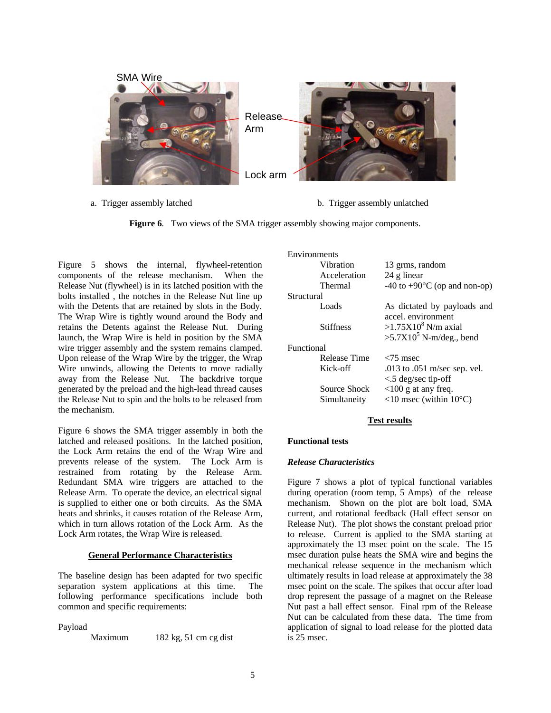

- 
- a. Trigger assembly latched b. Trigger assembly unlatched

**Figure 6**. Two views of the SMA trigger assembly showing major components.

Figure 5 shows the internal, flywheel-retention components of the release mechanism. When the Release Nut (flywheel) is in its latched position with the bolts installed , the notches in the Release Nut line up with the Detents that are retained by slots in the Body. The Wrap Wire is tightly wound around the Body and retains the Detents against the Release Nut. During launch, the Wrap Wire is held in position by the SMA wire trigger assembly and the system remains clamped. Upon release of the Wrap Wire by the trigger, the Wrap Wire unwinds, allowing the Detents to move radially away from the Release Nut. The backdrive torque generated by the preload and the high-lead thread causes the Release Nut to spin and the bolts to be released from the mechanism.

Figure 6 shows the SMA trigger assembly in both the latched and released positions. In the latched position, the Lock Arm retains the end of the Wrap Wire and prevents release of the system. The Lock Arm is restrained from rotating by the Release Arm. Redundant SMA wire triggers are attached to the Release Arm. To operate the device, an electrical signal is supplied to either one or both circuits. As the SMA heats and shrinks, it causes rotation of the Release Arm, which in turn allows rotation of the Lock Arm. As the Lock Arm rotates, the Wrap Wire is released.

## **General Performance Characteristics**

The baseline design has been adapted for two specific separation system applications at this time. The following performance specifications include both common and specific requirements:

Payload

Maximum 182 kg, 51 cm cg dist

| Environments |                              |                                                           |
|--------------|------------------------------|-----------------------------------------------------------|
|              | Vibration                    | 13 grms, random                                           |
|              | Acceleration                 | 24 g linear                                               |
|              | Thermal                      | -40 to +90 $\rm{^{\circ}C}$ (op and non-op)               |
| Structural   |                              |                                                           |
|              | Loads                        | As dictated by payloads and<br>accel. environment         |
|              | <b>Stiffness</b>             | $>1.75X10^8$ N/m axial<br>$>5.7X10^5$ N-m/deg., bend      |
| Functional   |                              |                                                           |
|              | Release Time                 | $<$ 75 msec                                               |
|              | Kick-off                     | .013 to .051 m/sec sep. vel.<br>$\leq$ 5 deg/sec tip-off  |
|              | Source Shock<br>Simultaneity | $<100$ g at any freq.<br><10 msec (within $10^{\circ}$ C) |
|              |                              |                                                           |

## **Test results**

## **Functional tests**

#### *Release Characteristics*

Figure 7 shows a plot of typical functional variables during operation (room temp, 5 Amps) of the release mechanism. Shown on the plot are bolt load, SMA current, and rotational feedback (Hall effect sensor on Release Nut). The plot shows the constant preload prior to release. Current is applied to the SMA starting at approximately the 13 msec point on the scale. The 15 msec duration pulse heats the SMA wire and begins the mechanical release sequence in the mechanism which ultimately results in load release at approximately the 38 msec point on the scale. The spikes that occur after load drop represent the passage of a magnet on the Release Nut past a hall effect sensor. Final rpm of the Release Nut can be calculated from these data. The time from application of signal to load release for the plotted data is 25 msec.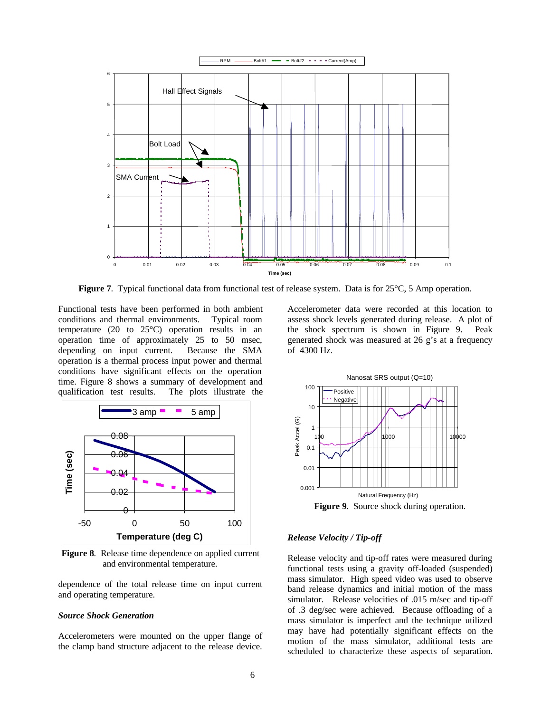

**Figure 7**. Typical functional data from functional test of release system. Data is for 25°C, 5 Amp operation.

Functional tests have been performed in both ambient conditions and thermal environments. Typical room temperature (20 to 25°C) operation results in an operation time of approximately 25 to 50 msec, depending on input current. Because the SMA operation is a thermal process input power and thermal conditions have significant effects on the operation time. Figure 8 shows a summary of development and qualification test results. The plots illustrate the



**Figure 8**. Release time dependence on applied current and environmental temperature.

dependence of the total release time on input current and operating temperature.

#### *Source Shock Generation*

Accelerometers were mounted on the upper flange of the clamp band structure adjacent to the release device.

Accelerometer data were recorded at this location to assess shock levels generated during release. A plot of the shock spectrum is shown in Figure 9. Peak generated shock was measured at 26 g's at a frequency of 4300 Hz.



**Figure 9**. Source shock during operation.

#### *Release Velocity / Tip-off*

Release velocity and tip-off rates were measured during functional tests using a gravity off-loaded (suspended) mass simulator. High speed video was used to observe band release dynamics and initial motion of the mass simulator. Release velocities of .015 m/sec and tip-off of .3 deg/sec were achieved. Because offloading of a mass simulator is imperfect and the technique utilized may have had potentially significant effects on the motion of the mass simulator, additional tests are scheduled to characterize these aspects of separation.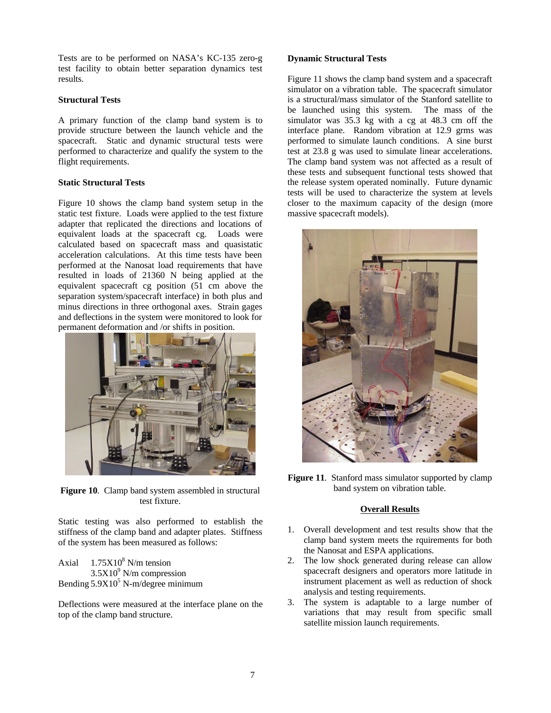Tests are to be performed on NASA's KC-135 zero-g test facility to obtain better separation dynamics test results.

### **Structural Tests**

A primary function of the clamp band system is to provide structure between the launch vehicle and the spacecraft. Static and dynamic structural tests were performed to characterize and qualify the system to the flight requirements.

### **Static Structural Tests**

Figure 10 shows the clamp band system setup in the static test fixture. Loads were applied to the test fixture adapter that replicated the directions and locations of equivalent loads at the spacecraft cg. Loads were calculated based on spacecraft mass and quasistatic acceleration calculations. At this time tests have been performed at the Nanosat load requirements that have resulted in loads of 21360 N being applied at the equivalent spacecraft cg position (51 cm above the separation system/spacecraft interface) in both plus and minus directions in three orthogonal axes. Strain gages and deflections in the system were monitored to look for permanent deformation and /or shifts in position.



**Figure 10**. Clamp band system assembled in structural test fixture.

Static testing was also performed to establish the stiffness of the clamp band and adapter plates. Stiffness of the system has been measured as follows:

Axial  $1.75X10<sup>8</sup>$  N/m tension  $3.5X10<sup>9</sup>$  N/m compression Bending  $5.9X10<sup>5</sup>$  N-m/degree minimum

Deflections were measured at the interface plane on the top of the clamp band structure.

### **Dynamic Structural Tests**

Figure 11 shows the clamp band system and a spacecraft simulator on a vibration table. The spacecraft simulator is a structural/mass simulator of the Stanford satellite to be launched using this system. The mass of the simulator was 35.3 kg with a cg at 48.3 cm off the interface plane. Random vibration at 12.9 grms was performed to simulate launch conditions. A sine burst test at 23.8 g was used to simulate linear accelerations. The clamp band system was not affected as a result of these tests and subsequent functional tests showed that the release system operated nominally. Future dynamic tests will be used to characterize the system at levels closer to the maximum capacity of the design (more massive spacecraft models).



**Figure 11.** Stanford mass simulator supported by clamp band system on vibration table.

## **Overall Results**

- 1. Overall development and test results show that the clamp band system meets the rquirements for both the Nanosat and ESPA applications.
- 2. The low shock generated during release can allow spacecraft designers and operators more latitude in instrument placement as well as reduction of shock analysis and testing requirements.
- 3. The system is adaptable to a large number of variations that may result from specific small satellite mission launch requirements.